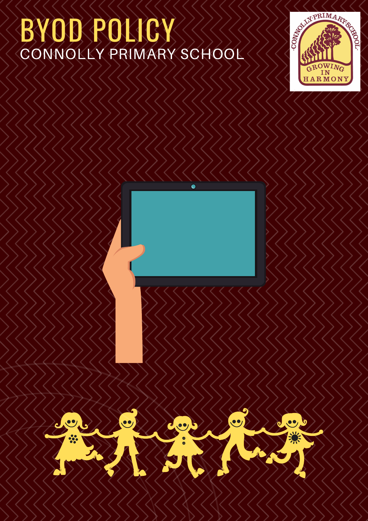## BYOD POLICY CONNOLLY PRIMARY SCHOOL



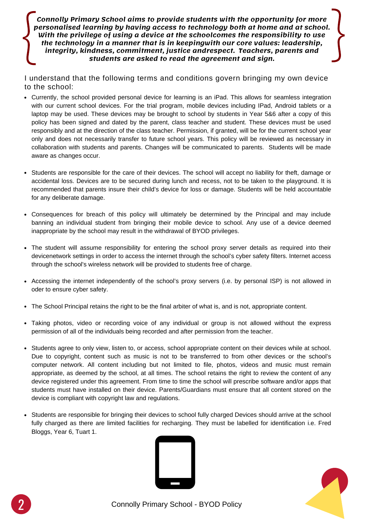$\int_{0}^{x}$ **Connolly Primary School aims to provide students with the opportunity for more personalised learning by having access to technology both at home and at school. With the privilege of using a device at the schoolcomes the responsibility to use the technology in a manner that is in keepingwith our core values: leadership, integrity, kindness, commitment, justice andrespect. Teachers, parents and students are asked to read the agreement and sign.**

I understand that the following terms and conditions govern bringing my own device to the school:

- Currently, the school provided personal device for learning is an iPad. This allows for seamless integration with our current school devices. For the trial program, mobile devices including IPad, Android tablets or a laptop may be used. These devices may be brought to school by students in Year 5&6 after a copy of this policy has been signed and dated by the parent, class teacher and student. These devices must be used responsibly and at the direction of the class teacher. Permission, if granted, will be for the current school year only and does not necessarily transfer to future school years. This policy will be reviewed as necessary in collaboration with students and parents. Changes will be communicated to parents. Students will be made aware as changes occur.
- Students are responsible for the care of their devices. The school will accept no liability for theft, damage or accidental loss. Devices are to be secured during lunch and recess, not to be taken to the playground. It is recommended that parents insure their child's device for loss or damage. Students will be held accountable for any deliberate damage.
- Consequences for breach of this policy will ultimately be determined by the Principal and may include banning an individual student from bringing their mobile device to school. Any use of a device deemed inappropriate by the school may result in the withdrawal of BYOD privileges.
- The student will assume responsibility for entering the school proxy server details as required into their devicenetwork settings in order to access the internet through the school's cyber safety filters. Internet access through the school's wireless network will be provided to students free of charge.
- Accessing the internet independently of the school's proxy servers (i.e. by personal ISP) is not allowed in oder to ensure cyber safety.
- The School Principal retains the right to be the final arbiter of what is, and is not, appropriate content.
- Taking photos, video or recording voice of any individual or group is not allowed without the express permission of all of the individuals being recorded and after permission from the teacher.
- Students agree to only view, listen to, or access, school appropriate content on their devices while at school. Due to copyright, content such as music is not to be transferred to from other devices or the school's computer network. All content including but not limited to file, photos, videos and music must remain appropriate, as deemed by the school, at all times. The school retains the right to review the content of any device registered under this agreement. From time to time the school will prescribe software and/or apps that students must have installed on their device. Parents/Guardians must ensure that all content stored on the device is compliant with copyright law and regulations.
- Students are responsible for bringing their devices to school fully charged Devices should arrive at the school fully charged as there are limited facilities for recharging. They must be labelled for identification i.e. Fred Bloggs, Year 6, Tuart 1.





**\\igm**